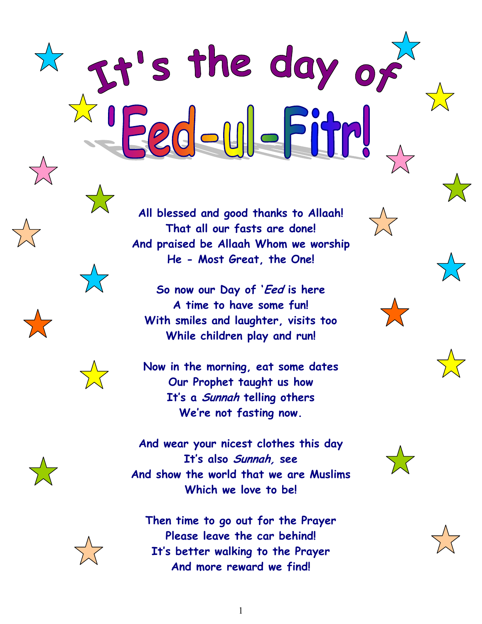**All blessed and good thanks to Allaah! That all our fasts are done! And praised be Allaah Whom we worship He - Most Great, the One!**

It's the day of

**So now our Day of 'Eed is here A time to have some fun! With smiles and laughter, visits too While children play and run!**

**Now in the morning, eat some dates Our Prophet taught us how It's a Sunnah telling others We're not fasting now.**

**And wear your nicest clothes this day It's also Sunnah, see And show the world that we are Muslims Which we love to be!**

**Then time to go out for the Prayer Please leave the car behind! It's better walking to the Prayer And more reward we find!**



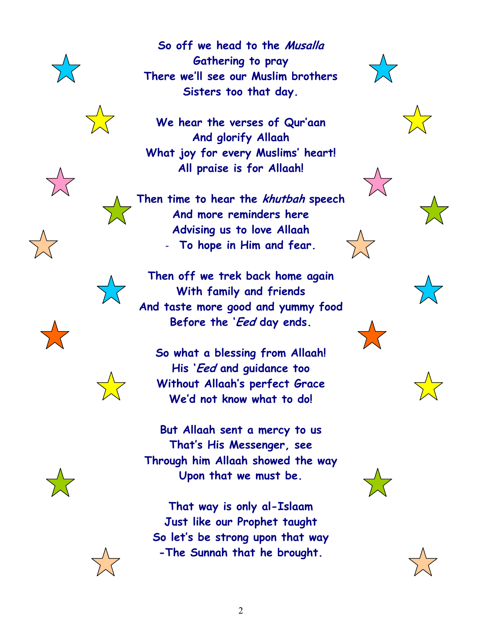





**So off we head to the Musalla**

**Gathering to pray There we'll see our Muslim brothers**

**What joy for every Muslims' heart! All praise is for Allaah!**

**Then time to hear the khutbah speech And more reminders here Advising us to love Allaah** - **To hope in Him and fear.**

**Then off we trek back home again With family and friends And taste more good and yummy food Before the 'Eed day ends.**

**So what a blessing from Allaah! His 'Eed and guidance too Without Allaah's perfect Grace We'd not know what to do!**

**But Allaah sent a mercy to us That's His Messenger, see Through him Allaah showed the way Upon that we must be.**

**That way is only al-Islaam Just like our Prophet taught So let's be strong upon that way -The Sunnah that he brought.**

















2